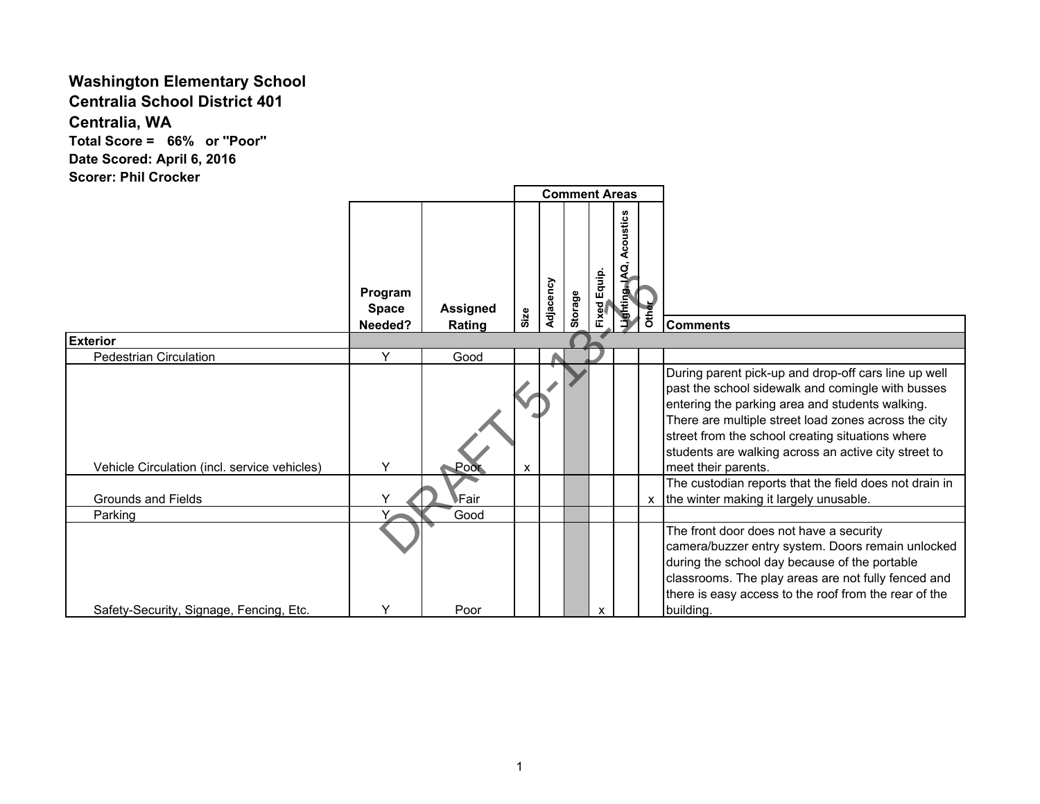## **Washington Elementary School**

**Centralia School District 401**

**Centralia, WA**

**Total Score = 66% or ''Poor'' Date Scored: April 6, 2016 Scorer: Phil Crocker**

|                                              |                         |                 | <b>Comment Areas</b> |           |         |                     |                             |                           |                                                                                                                                                                                                                                                                                                                                                         |
|----------------------------------------------|-------------------------|-----------------|----------------------|-----------|---------|---------------------|-----------------------------|---------------------------|---------------------------------------------------------------------------------------------------------------------------------------------------------------------------------------------------------------------------------------------------------------------------------------------------------------------------------------------------------|
|                                              | Program<br><b>Space</b> | <b>Assigned</b> |                      | Adjacency | Storage | <b>Fixed Equip.</b> | Acoustics<br>Lighting, IAQ, | <b>Other</b>              |                                                                                                                                                                                                                                                                                                                                                         |
|                                              | Needed?                 | Rating          | Size                 |           |         |                     |                             |                           | <b>Comments</b>                                                                                                                                                                                                                                                                                                                                         |
| <b>Exterior</b>                              |                         |                 |                      |           |         |                     |                             |                           |                                                                                                                                                                                                                                                                                                                                                         |
| <b>Pedestrian Circulation</b>                | Y                       | Good            |                      |           |         |                     |                             |                           |                                                                                                                                                                                                                                                                                                                                                         |
| Vehicle Circulation (incl. service vehicles) | $\checkmark$            | ⊾Poor           | X                    |           |         |                     |                             |                           | During parent pick-up and drop-off cars line up well<br>past the school sidewalk and comingle with busses<br>entering the parking area and students walking.<br>There are multiple street load zones across the city<br>street from the school creating situations where<br>students are walking across an active city street to<br>meet their parents. |
| Grounds and Fields                           |                         | Fair            |                      |           |         |                     |                             | $\boldsymbol{\mathsf{x}}$ | The custodian reports that the field does not drain in<br>the winter making it largely unusable.                                                                                                                                                                                                                                                        |
| Parking                                      |                         | Good            |                      |           |         |                     |                             |                           |                                                                                                                                                                                                                                                                                                                                                         |
| Safety-Security, Signage, Fencing, Etc.      | ٧                       | Poor            |                      |           |         | X                   |                             |                           | The front door does not have a security<br>camera/buzzer entry system. Doors remain unlocked<br>during the school day because of the portable<br>classrooms. The play areas are not fully fenced and<br>there is easy access to the roof from the rear of the<br>building.                                                                              |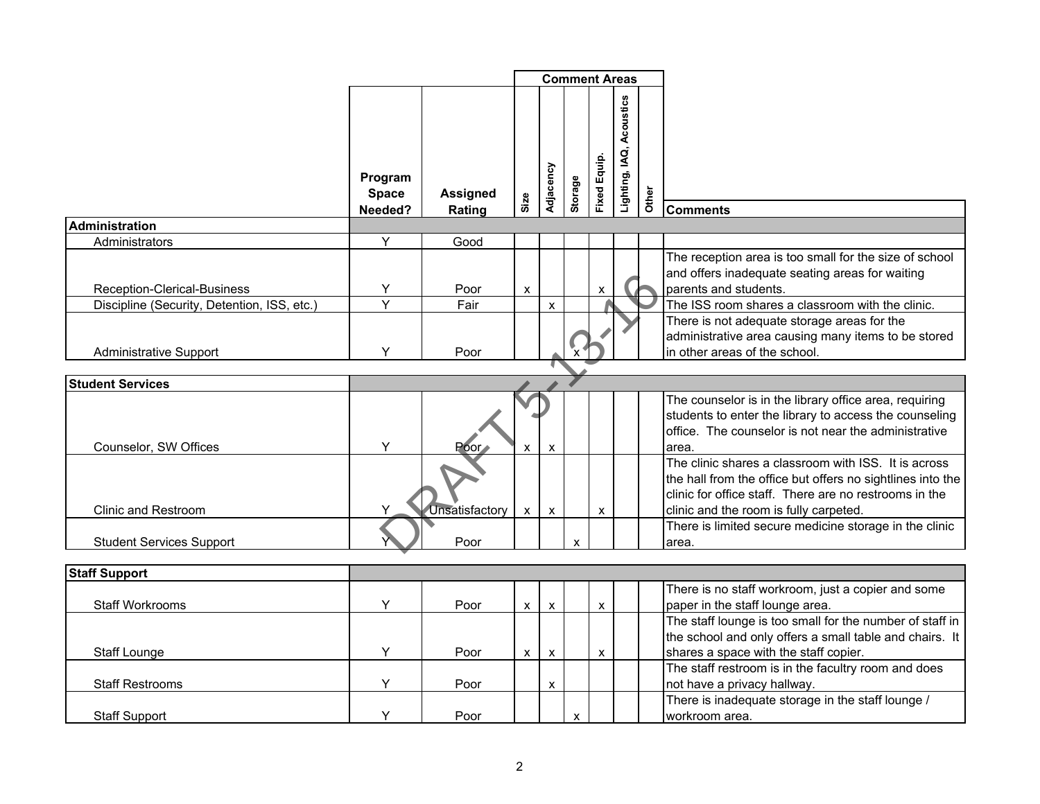|                                             |                         |                 | <b>Comment Areas</b> |                           |                           |                    |                             |       |                                                                                                                                                                                                                        |
|---------------------------------------------|-------------------------|-----------------|----------------------|---------------------------|---------------------------|--------------------|-----------------------------|-------|------------------------------------------------------------------------------------------------------------------------------------------------------------------------------------------------------------------------|
|                                             | Program<br><b>Space</b> | <b>Assigned</b> |                      | Adjacency                 | Storage                   | Fixed Equip.       | Acoustics<br>Lighting, IAQ, | Other |                                                                                                                                                                                                                        |
|                                             | Needed?                 | Rating          | Size                 |                           |                           |                    |                             |       | <b>Comments</b>                                                                                                                                                                                                        |
| <b>Administration</b>                       |                         |                 |                      |                           |                           |                    |                             |       |                                                                                                                                                                                                                        |
| Administrators                              | Y                       | Good            |                      |                           |                           |                    |                             |       |                                                                                                                                                                                                                        |
| Reception-Clerical-Business                 | Υ                       | Poor            | $\pmb{\mathsf{x}}$   |                           |                           | X                  |                             |       | The reception area is too small for the size of school<br>and offers inadequate seating areas for waiting<br>parents and students.                                                                                     |
| Discipline (Security, Detention, ISS, etc.) | Y                       | Fair            |                      | $\pmb{\times}$            |                           |                    |                             |       | The ISS room shares a classroom with the clinic.                                                                                                                                                                       |
| <b>Administrative Support</b>               | Y                       | Poor            |                      |                           |                           |                    |                             |       | There is not adequate storage areas for the<br>administrative area causing many items to be stored<br>in other areas of the school.                                                                                    |
|                                             |                         |                 |                      |                           |                           |                    |                             |       |                                                                                                                                                                                                                        |
| <b>Student Services</b>                     |                         |                 |                      |                           |                           |                    |                             |       |                                                                                                                                                                                                                        |
| Counselor, SW Offices                       | Y                       | Poor            | X                    | $\boldsymbol{\mathsf{x}}$ |                           |                    |                             |       | The counselor is in the library office area, requiring<br>students to enter the library to access the counseling<br>office. The counselor is not near the administrative<br>area.                                      |
| Clinic and Restroom                         |                         | Unsatisfactory  | $\mathsf{x}$         | $\pmb{\times}$            |                           | X                  |                             |       | The clinic shares a classroom with ISS. It is across<br>the hall from the office but offers no sightlines into the<br>clinic for office staff. There are no restrooms in the<br>clinic and the room is fully carpeted. |
| <b>Student Services Support</b>             |                         | Poor            |                      |                           | $\boldsymbol{\mathsf{x}}$ |                    |                             |       | There is limited secure medicine storage in the clinic<br>area.                                                                                                                                                        |
|                                             |                         |                 |                      |                           |                           |                    |                             |       |                                                                                                                                                                                                                        |
| <b>Staff Support</b>                        |                         |                 |                      |                           |                           |                    |                             |       |                                                                                                                                                                                                                        |
| Staff Workrooms                             | Υ                       | Poor            | $\mathsf{x}$         | $\pmb{\times}$            |                           | $\pmb{\mathsf{x}}$ |                             |       | There is no staff workroom, just a copier and some<br>paper in the staff lounge area.                                                                                                                                  |
| <b>Staff Lounge</b>                         | Y                       | Poor            | $\mathsf{x}$         | X                         |                           | X                  |                             |       | The staff lounge is too small for the number of staff in<br>the school and only offers a small table and chairs. It<br>shares a space with the staff copier.                                                           |
| <b>Staff Restrooms</b>                      | Y                       | Poor            |                      | $\pmb{\times}$            |                           |                    |                             |       | The staff restroom is in the facultry room and does<br>not have a privacy hallway.                                                                                                                                     |
| <b>Staff Support</b>                        | Y                       | Poor            |                      |                           | X                         |                    |                             |       | There is inadequate storage in the staff lounge /<br>workroom area.                                                                                                                                                    |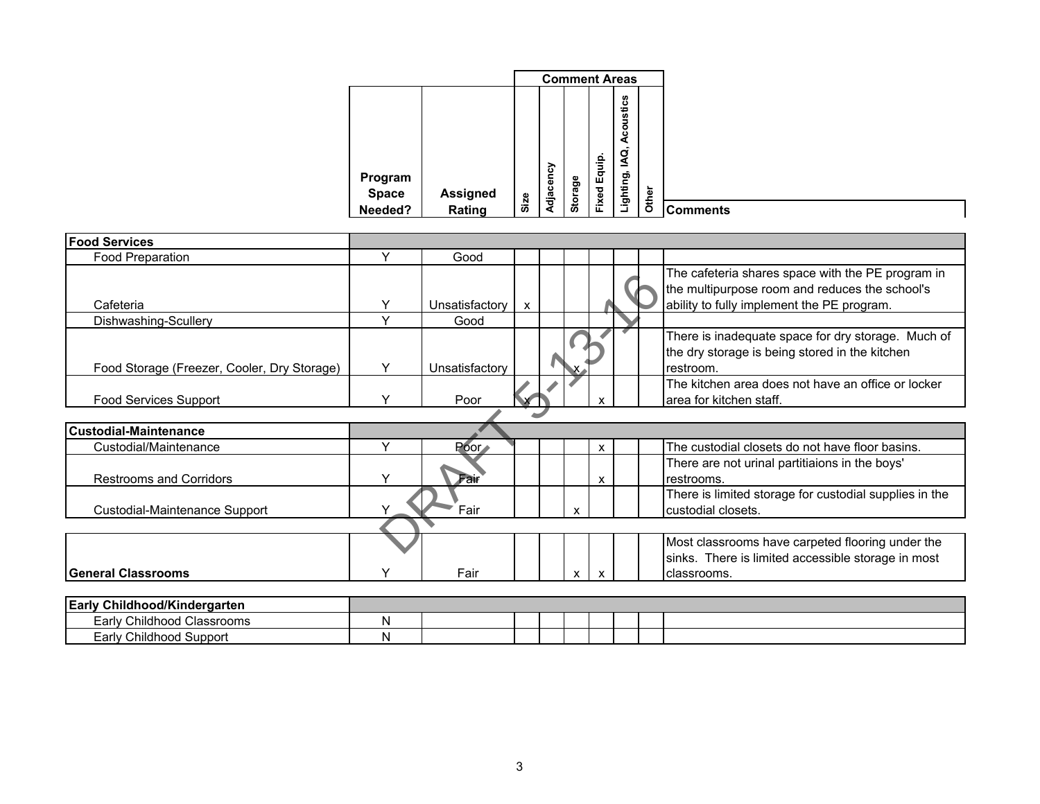|                         |                 |           | <b>Comment Areas</b> |                 |                                             |       |
|-------------------------|-----------------|-----------|----------------------|-----------------|---------------------------------------------|-------|
| Program<br><b>Space</b> | <b>Assigned</b> | Adjacency | Storage              | Equip.<br>Fixed | n<br>ustic<br><b>Aco</b><br>₫,<br>Lighting, | Other |
| Needed?                 | Rating          | Size      |                      |                 |                                             |       |

| <b>Food Services</b>                        |              |                   |              |   |   |  |                                                                                                                                                   |
|---------------------------------------------|--------------|-------------------|--------------|---|---|--|---------------------------------------------------------------------------------------------------------------------------------------------------|
| Food Preparation                            | $\checkmark$ | Good              |              |   |   |  |                                                                                                                                                   |
| Cafeteria                                   | Υ            | Unsatisfactory    | $\mathsf{x}$ |   |   |  | The cafeteria shares space with the PE program in<br>the multipurpose room and reduces the school's<br>ability to fully implement the PE program. |
| Dishwashing-Scullery                        | Y            | Good              |              |   |   |  |                                                                                                                                                   |
| Food Storage (Freezer, Cooler, Dry Storage) | Y            | Unsatisfactory    |              |   |   |  | There is inadequate space for dry storage. Much of<br>the dry storage is being stored in the kitchen<br>restroom.                                 |
| <b>Food Services Support</b>                | $\checkmark$ | Poor              |              |   |   |  | The kitchen area does not have an office or locker<br>area for kitchen staff.                                                                     |
|                                             |              |                   |              |   |   |  |                                                                                                                                                   |
| <b>Custodial-Maintenance</b>                |              |                   |              |   |   |  |                                                                                                                                                   |
| Custodial/Maintenance                       | $\checkmark$ | Poor <sub>*</sub> |              |   | X |  | The custodial closets do not have floor basins.                                                                                                   |
| <b>Restrooms and Corridors</b>              | $\checkmark$ | Fair              |              |   | X |  | There are not urinal partitiaions in the boys'<br>restrooms.                                                                                      |
| Custodial-Maintenance Support               |              | Fair              |              | X |   |  | There is limited storage for custodial supplies in the<br>custodial closets.                                                                      |
|                                             |              |                   |              |   |   |  |                                                                                                                                                   |
| <b>General Classrooms</b>                   |              | Fair              |              | X |   |  | Most classrooms have carpeted flooring under the<br>sinks. There is limited accessible storage in most<br>classrooms.                             |
|                                             |              |                   |              |   |   |  |                                                                                                                                                   |
| Early Childhood/Kindergarten                |              |                   |              |   |   |  |                                                                                                                                                   |
| Early Childhood Classrooms                  | N            |                   |              |   |   |  |                                                                                                                                                   |
| Early Childhood Support                     | N            |                   |              |   |   |  |                                                                                                                                                   |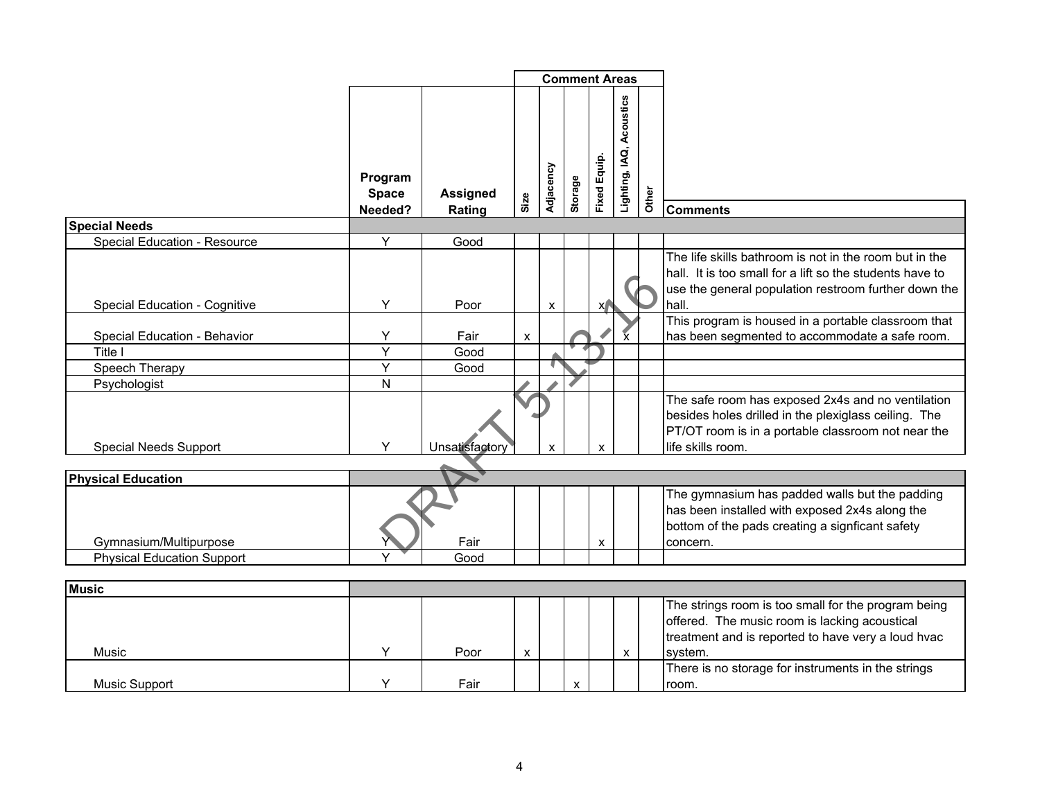|                                   |                         |                 |                    |           |         | <b>Comment Areas</b> |                             |       |                                                                                                                                                                                      |
|-----------------------------------|-------------------------|-----------------|--------------------|-----------|---------|----------------------|-----------------------------|-------|--------------------------------------------------------------------------------------------------------------------------------------------------------------------------------------|
|                                   | Program<br><b>Space</b> | <b>Assigned</b> | Size               | Adjacency | Storage | <b>Fixed Equip.</b>  | Acoustics<br>Lighting, IAQ, | Other |                                                                                                                                                                                      |
|                                   | Needed?                 | Rating          |                    |           |         |                      |                             |       | <b>Comments</b>                                                                                                                                                                      |
| <b>Special Needs</b>              |                         |                 |                    |           |         |                      |                             |       |                                                                                                                                                                                      |
| Special Education - Resource      | Y                       | Good            |                    |           |         |                      |                             |       |                                                                                                                                                                                      |
| Special Education - Cognitive     | Y                       | Poor            |                    | X         |         | X                    |                             |       | The life skills bathroom is not in the room but in the<br>hall. It is too small for a lift so the students have to<br>use the general population restroom further down the<br>hall.  |
|                                   |                         |                 |                    |           |         |                      |                             |       | This program is housed in a portable classroom that                                                                                                                                  |
| Special Education - Behavior      | Y                       | Fair            | $\pmb{\mathsf{X}}$ |           |         |                      | $\mathbf{x}$                |       | has been segmented to accommodate a safe room.                                                                                                                                       |
| Title I                           | $\overline{Y}$          | Good            |                    |           |         |                      |                             |       |                                                                                                                                                                                      |
| Speech Therapy                    | $\overline{Y}$          | Good            |                    |           |         |                      |                             |       |                                                                                                                                                                                      |
| Psychologist                      | N                       |                 |                    |           |         |                      |                             |       |                                                                                                                                                                                      |
| <b>Special Needs Support</b>      | Y                       | Unsatisfactor   |                    | X         |         | X                    |                             |       | The safe room has exposed 2x4s and no ventilation<br>besides holes drilled in the plexiglass ceiling. The<br>PT/OT room is in a portable classroom not near the<br>life skills room. |
|                                   |                         |                 |                    |           |         |                      |                             |       |                                                                                                                                                                                      |
| <b>Physical Education</b>         |                         |                 |                    |           |         |                      |                             |       |                                                                                                                                                                                      |
| Gymnasium/Multipurpose            |                         | Fair            |                    |           |         | X                    |                             |       | The gymnasium has padded walls but the padding<br>has been installed with exposed 2x4s along the<br>bottom of the pads creating a signficant safety<br>concern.                      |
| <b>Physical Education Support</b> |                         | Good            |                    |           |         |                      |                             |       |                                                                                                                                                                                      |
|                                   |                         |                 |                    |           |         |                      |                             |       |                                                                                                                                                                                      |
| <b>Music</b>                      |                         |                 |                    |           |         |                      |                             |       |                                                                                                                                                                                      |
| Music                             | Υ                       | Poor            | X                  |           |         |                      | X                           |       | The strings room is too small for the program being<br>offered. The music room is lacking acoustical<br>treatment and is reported to have very a loud hvac<br>system.                |

There is no storage for instruments in the strings

room.

Music Support Y Fair x